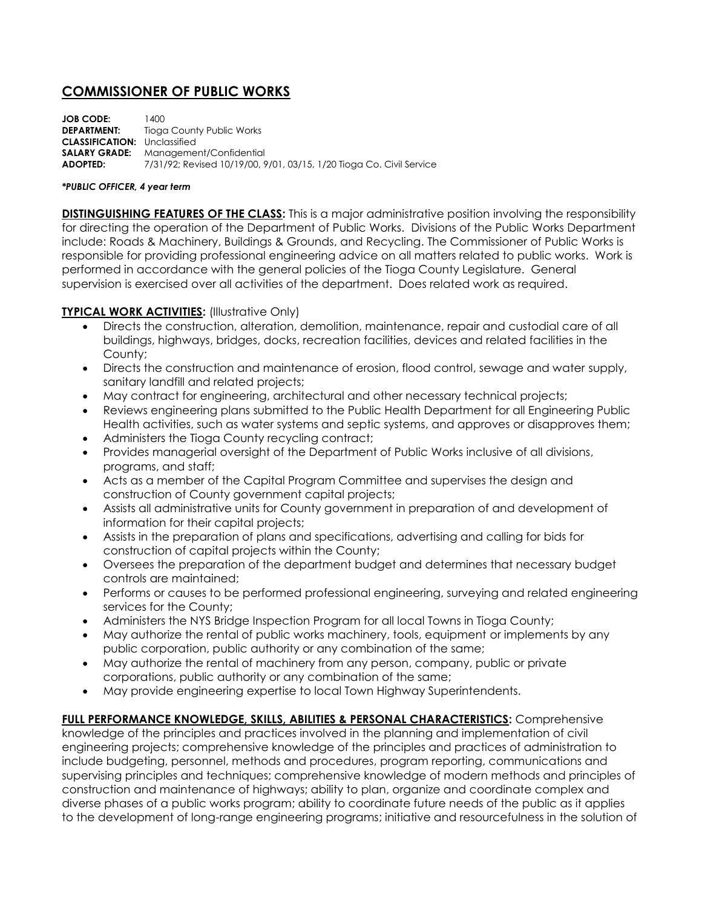## **COMMISSIONER OF PUBLIC WORKS**

| <b>JOB CODE:</b>                    | 1400.                                                                |
|-------------------------------------|----------------------------------------------------------------------|
| <b>DEPARTMENT:</b>                  | Tioga County Public Works                                            |
| <b>CLASSIFICATION:</b> Unclassified |                                                                      |
|                                     | <b>SALARY GRADE:</b> Management/Confidential                         |
| ADOPTED:                            | 7/31/92; Revised 10/19/00, 9/01, 03/15, 1/20 Tioga Co. Civil Service |

## *\*PUBLIC OFFICER, 4 year term*

**DISTINGUISHING FEATURES OF THE CLASS:** This is a major administrative position involving the responsibility for directing the operation of the Department of Public Works. Divisions of the Public Works Department include: Roads & Machinery, Buildings & Grounds, and Recycling. The Commissioner of Public Works is responsible for providing professional engineering advice on all matters related to public works. Work is performed in accordance with the general policies of the Tioga County Legislature. General supervision is exercised over all activities of the department. Does related work as required.

## **TYPICAL WORK ACTIVITIES:** (Illustrative Only)

- Directs the construction, alteration, demolition, maintenance, repair and custodial care of all buildings, highways, bridges, docks, recreation facilities, devices and related facilities in the County;
- Directs the construction and maintenance of erosion, flood control, sewage and water supply, sanitary landfill and related projects;
- May contract for engineering, architectural and other necessary technical projects;
- Reviews engineering plans submitted to the Public Health Department for all Engineering Public Health activities, such as water systems and septic systems, and approves or disapproves them;
- Administers the Tioga County recycling contract;
- Provides managerial oversight of the Department of Public Works inclusive of all divisions, programs, and staff;
- Acts as a member of the Capital Program Committee and supervises the design and construction of County government capital projects;
- Assists all administrative units for County government in preparation of and development of information for their capital projects;
- Assists in the preparation of plans and specifications, advertising and calling for bids for construction of capital projects within the County;
- Oversees the preparation of the department budget and determines that necessary budget controls are maintained;
- Performs or causes to be performed professional engineering, surveying and related engineering services for the County;
- Administers the NYS Bridge Inspection Program for all local Towns in Tioga County;
- May authorize the rental of public works machinery, tools, equipment or implements by any public corporation, public authority or any combination of the same;
- May authorize the rental of machinery from any person, company, public or private corporations, public authority or any combination of the same;
- May provide engineering expertise to local Town Highway Superintendents.

**FULL PERFORMANCE KNOWLEDGE, SKILLS, ABILITIES & PERSONAL CHARACTERISTICS:** Comprehensive knowledge of the principles and practices involved in the planning and implementation of civil engineering projects; comprehensive knowledge of the principles and practices of administration to include budgeting, personnel, methods and procedures, program reporting, communications and supervising principles and techniques; comprehensive knowledge of modern methods and principles of construction and maintenance of highways; ability to plan, organize and coordinate complex and diverse phases of a public works program; ability to coordinate future needs of the public as it applies to the development of long-range engineering programs; initiative and resourcefulness in the solution of